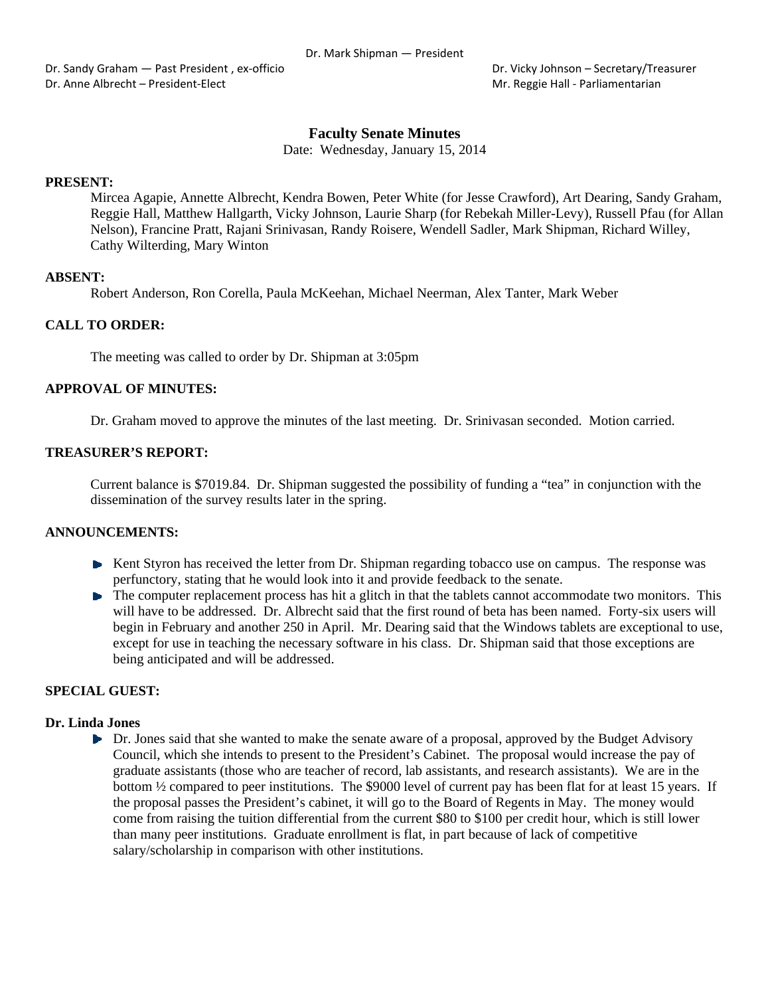Dr. Sandy Graham — Past President, ex-officio **Brandy Constant Constant Constant** Dr. Vicky Johnson – Secretary/Treasurer Dr. Anne Albrecht – President-Elect **Mr. Reggie Hall - Parliamentarian** Mr. Reggie Hall - Parliamentarian

# **Faculty Senate Minutes**

Date: Wednesday, January 15, 2014

### **PRESENT:**

Mircea Agapie, Annette Albrecht, Kendra Bowen, Peter White (for Jesse Crawford), Art Dearing, Sandy Graham, Reggie Hall, Matthew Hallgarth, Vicky Johnson, Laurie Sharp (for Rebekah Miller-Levy), Russell Pfau (for Allan Nelson), Francine Pratt, Rajani Srinivasan, Randy Roisere, Wendell Sadler, Mark Shipman, Richard Willey, Cathy Wilterding, Mary Winton

# **ABSENT:**

Robert Anderson, Ron Corella, Paula McKeehan, Michael Neerman, Alex Tanter, Mark Weber

# **CALL TO ORDER:**

The meeting was called to order by Dr. Shipman at 3:05pm

### **APPROVAL OF MINUTES:**

Dr. Graham moved to approve the minutes of the last meeting. Dr. Srinivasan seconded. Motion carried.

### **TREASURER'S REPORT:**

Current balance is \$7019.84. Dr. Shipman suggested the possibility of funding a "tea" in conjunction with the dissemination of the survey results later in the spring.

# **ANNOUNCEMENTS:**

- $\blacktriangleright$  Kent Styron has received the letter from Dr. Shipman regarding tobacco use on campus. The response was perfunctory, stating that he would look into it and provide feedback to the senate.
- The computer replacement process has hit a glitch in that the tablets cannot accommodate two monitors. This will have to be addressed. Dr. Albrecht said that the first round of beta has been named. Forty-six users will begin in February and another 250 in April. Mr. Dearing said that the Windows tablets are exceptional to use, except for use in teaching the necessary software in his class. Dr. Shipman said that those exceptions are being anticipated and will be addressed.

# **SPECIAL GUEST:**

### **Dr. Linda Jones**

Dr. Jones said that she wanted to make the senate aware of a proposal, approved by the Budget Advisory Council, which she intends to present to the President's Cabinet. The proposal would increase the pay of graduate assistants (those who are teacher of record, lab assistants, and research assistants). We are in the bottom ½ compared to peer institutions. The \$9000 level of current pay has been flat for at least 15 years. If the proposal passes the President's cabinet, it will go to the Board of Regents in May. The money would come from raising the tuition differential from the current \$80 to \$100 per credit hour, which is still lower than many peer institutions. Graduate enrollment is flat, in part because of lack of competitive salary/scholarship in comparison with other institutions.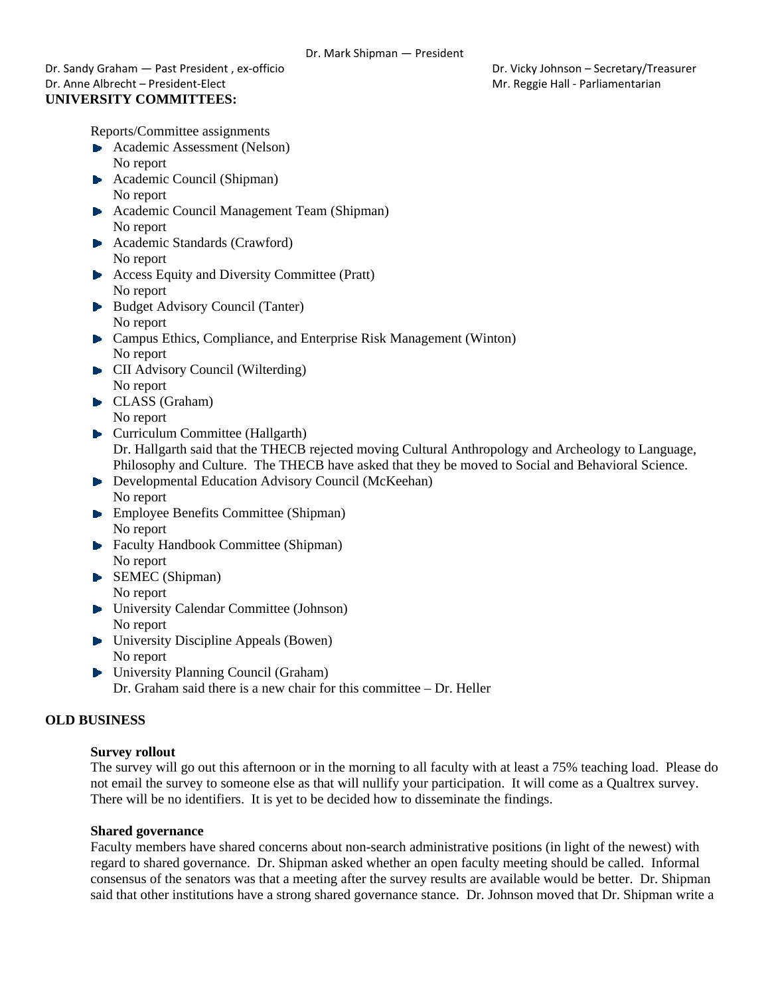Dr. Sandy Graham — Past President , ex‐officio Dr. Vicky Johnson – Secretary/Treasurer Dr. Anne Albrecht – President-Elect **Mr. Reggie Hall - Parliamentarian** Mr. Reggie Hall - Parliamentarian **UNIVERSITY COMMITTEES:** 

Reports/Committee assignments

- Academic Assessment (Nelson) No report
- Academic Council (Shipman) No report
- Academic Council Management Team (Shipman) No report
- **Academic Standards (Crawford)** No report
- ▶ Access Equity and Diversity Committee (Pratt) No report
- Budget Advisory Council (Tanter) No report
- Campus Ethics, Compliance, and Enterprise Risk Management (Winton) No report
- **CII** Advisory Council (Wilterding) No report
- CLASS (Graham) No report
- **Curriculum Committee (Hallgarth)** Dr. Hallgarth said that the THECB rejected moving Cultural Anthropology and Archeology to Language, Philosophy and Culture. The THECB have asked that they be moved to Social and Behavioral Science.
- **Developmental Education Advisory Council (McKeehan)** No report
- **Employee Benefits Committee (Shipman)** No report
- **Faculty Handbook Committee (Shipman)** No report
- SEMEC (Shipman) No report
- University Calendar Committee (Johnson) No report
- **E** University Discipline Appeals (Bowen) No report
- ▶ University Planning Council (Graham) Dr. Graham said there is a new chair for this committee – Dr. Heller

# **OLD BUSINESS**

# **Survey rollout**

The survey will go out this afternoon or in the morning to all faculty with at least a 75% teaching load. Please do not email the survey to someone else as that will nullify your participation. It will come as a Qualtrex survey. There will be no identifiers. It is yet to be decided how to disseminate the findings.

# **Shared governance**

Faculty members have shared concerns about non-search administrative positions (in light of the newest) with regard to shared governance. Dr. Shipman asked whether an open faculty meeting should be called. Informal consensus of the senators was that a meeting after the survey results are available would be better. Dr. Shipman said that other institutions have a strong shared governance stance. Dr. Johnson moved that Dr. Shipman write a